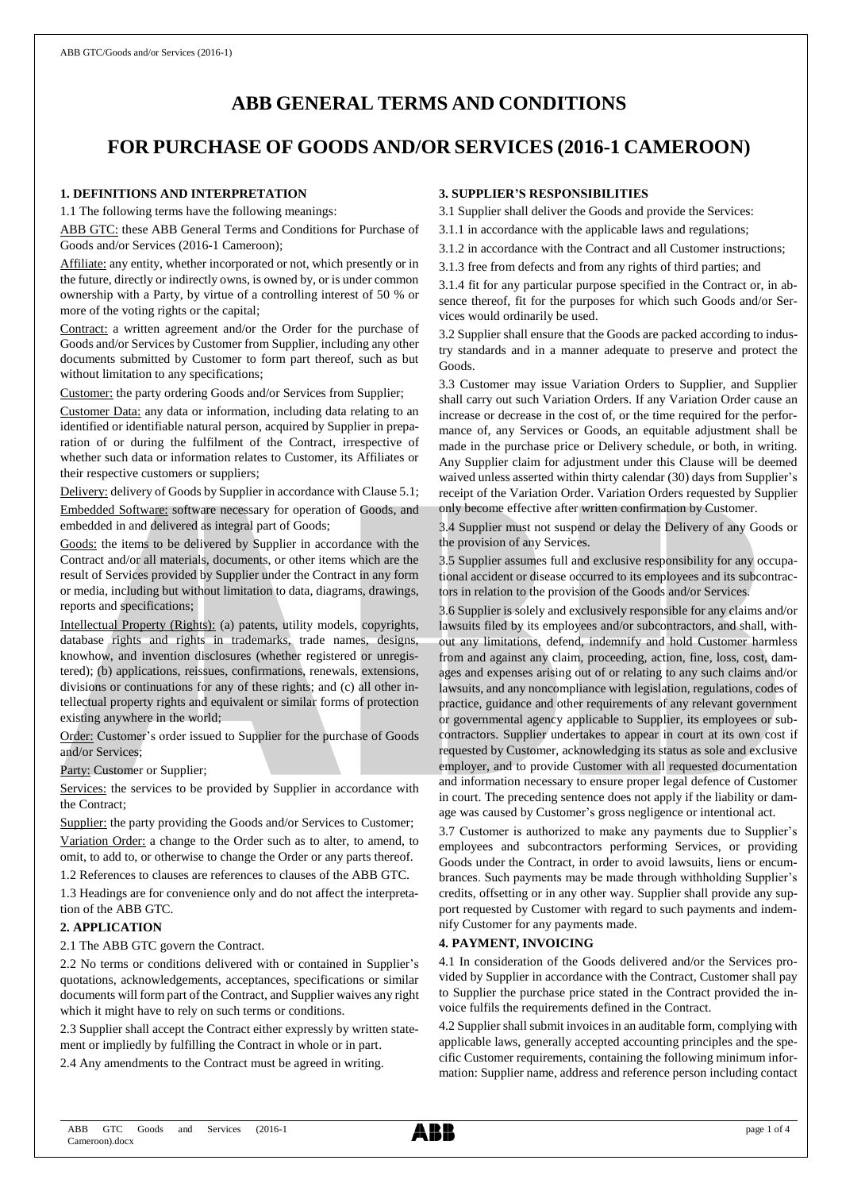# **ABB GENERAL TERMS AND CONDITIONS**

# **FOR PURCHASE OF GOODS AND/OR SERVICES (2016-1 CAMEROON)**

# **1. DEFINITIONS AND INTERPRETATION**

1.1 The following terms have the following meanings:

ABB GTC: these ABB General Terms and Conditions for Purchase of Goods and/or Services (2016-1 Cameroon);

Affiliate: any entity, whether incorporated or not, which presently or in the future, directly or indirectly owns, is owned by, or is under common ownership with a Party, by virtue of a controlling interest of 50 % or more of the voting rights or the capital;

Contract: a written agreement and/or the Order for the purchase of Goods and/or Services by Customer from Supplier, including any other documents submitted by Customer to form part thereof, such as but without limitation to any specifications;

Customer: the party ordering Goods and/or Services from Supplier;

Customer Data: any data or information, including data relating to an identified or identifiable natural person, acquired by Supplier in preparation of or during the fulfilment of the Contract, irrespective of whether such data or information relates to Customer, its Affiliates or their respective customers or suppliers;

Delivery: delivery of Goods by Supplier in accordance with Clause 5.1; Embedded Software: software necessary for operation of Goods, and embedded in and delivered as integral part of Goods;

Goods: the items to be delivered by Supplier in accordance with the Contract and/or all materials, documents, or other items which are the result of Services provided by Supplier under the Contract in any form or media, including but without limitation to data, diagrams, drawings, reports and specifications;

Intellectual Property (Rights): (a) patents, utility models, copyrights, database rights and rights in trademarks, trade names, designs, knowhow, and invention disclosures (whether registered or unregistered); (b) applications, reissues, confirmations, renewals, extensions, divisions or continuations for any of these rights; and (c) all other intellectual property rights and equivalent or similar forms of protection existing anywhere in the world;

Order: Customer's order issued to Supplier for the purchase of Goods and/or Services;

Party: Customer or Supplier;

Services: the services to be provided by Supplier in accordance with the Contract;

Supplier: the party providing the Goods and/or Services to Customer; Variation Order: a change to the Order such as to alter, to amend, to omit, to add to, or otherwise to change the Order or any parts thereof.

1.2 References to clauses are references to clauses of the ABB GTC.

1.3 Headings are for convenience only and do not affect the interpretation of the ABB GTC.

#### **2. APPLICATION**

2.1 The ABB GTC govern the Contract.

2.2 No terms or conditions delivered with or contained in Supplier's quotations, acknowledgements, acceptances, specifications or similar documents will form part of the Contract, and Supplier waives any right which it might have to rely on such terms or conditions.

2.3 Supplier shall accept the Contract either expressly by written statement or impliedly by fulfilling the Contract in whole or in part.

2.4 Any amendments to the Contract must be agreed in writing.

# **3. SUPPLIER'S RESPONSIBILITIES**

3.1 Supplier shall deliver the Goods and provide the Services:

3.1.1 in accordance with the applicable laws and regulations;

3.1.2 in accordance with the Contract and all Customer instructions;

3.1.3 free from defects and from any rights of third parties; and

3.1.4 fit for any particular purpose specified in the Contract or, in absence thereof, fit for the purposes for which such Goods and/or Services would ordinarily be used.

3.2 Supplier shall ensure that the Goods are packed according to industry standards and in a manner adequate to preserve and protect the Goods.

3.3 Customer may issue Variation Orders to Supplier, and Supplier shall carry out such Variation Orders. If any Variation Order cause an increase or decrease in the cost of, or the time required for the performance of, any Services or Goods, an equitable adjustment shall be made in the purchase price or Delivery schedule, or both, in writing. Any Supplier claim for adjustment under this Clause will be deemed waived unless asserted within thirty calendar (30) days from Supplier's receipt of the Variation Order. Variation Orders requested by Supplier only become effective after written confirmation by Customer.

3.4 Supplier must not suspend or delay the Delivery of any Goods or the provision of any Services.

3.5 Supplier assumes full and exclusive responsibility for any occupational accident or disease occurred to its employees and its subcontractors in relation to the provision of the Goods and/or Services.

3.6 Supplier is solely and exclusively responsible for any claims and/or lawsuits filed by its employees and/or subcontractors, and shall, without any limitations, defend, indemnify and hold Customer harmless from and against any claim, proceeding, action, fine, loss, cost, damages and expenses arising out of or relating to any such claims and/or lawsuits, and any noncompliance with legislation, regulations, codes of practice, guidance and other requirements of any relevant government or governmental agency applicable to Supplier, its employees or subcontractors. Supplier undertakes to appear in court at its own cost if requested by Customer, acknowledging its status as sole and exclusive employer, and to provide Customer with all requested documentation and information necessary to ensure proper legal defence of Customer in court. The preceding sentence does not apply if the liability or damage was caused by Customer's gross negligence or intentional act.

3.7 Customer is authorized to make any payments due to Supplier's employees and subcontractors performing Services, or providing Goods under the Contract, in order to avoid lawsuits, liens or encumbrances. Such payments may be made through withholding Supplier's credits, offsetting or in any other way. Supplier shall provide any support requested by Customer with regard to such payments and indemnify Customer for any payments made.

# **4. PAYMENT, INVOICING**

4.1 In consideration of the Goods delivered and/or the Services provided by Supplier in accordance with the Contract, Customer shall pay to Supplier the purchase price stated in the Contract provided the invoice fulfils the requirements defined in the Contract.

4.2 Supplier shall submit invoices in an auditable form, complying with applicable laws, generally accepted accounting principles and the specific Customer requirements, containing the following minimum information: Supplier name, address and reference person including contact

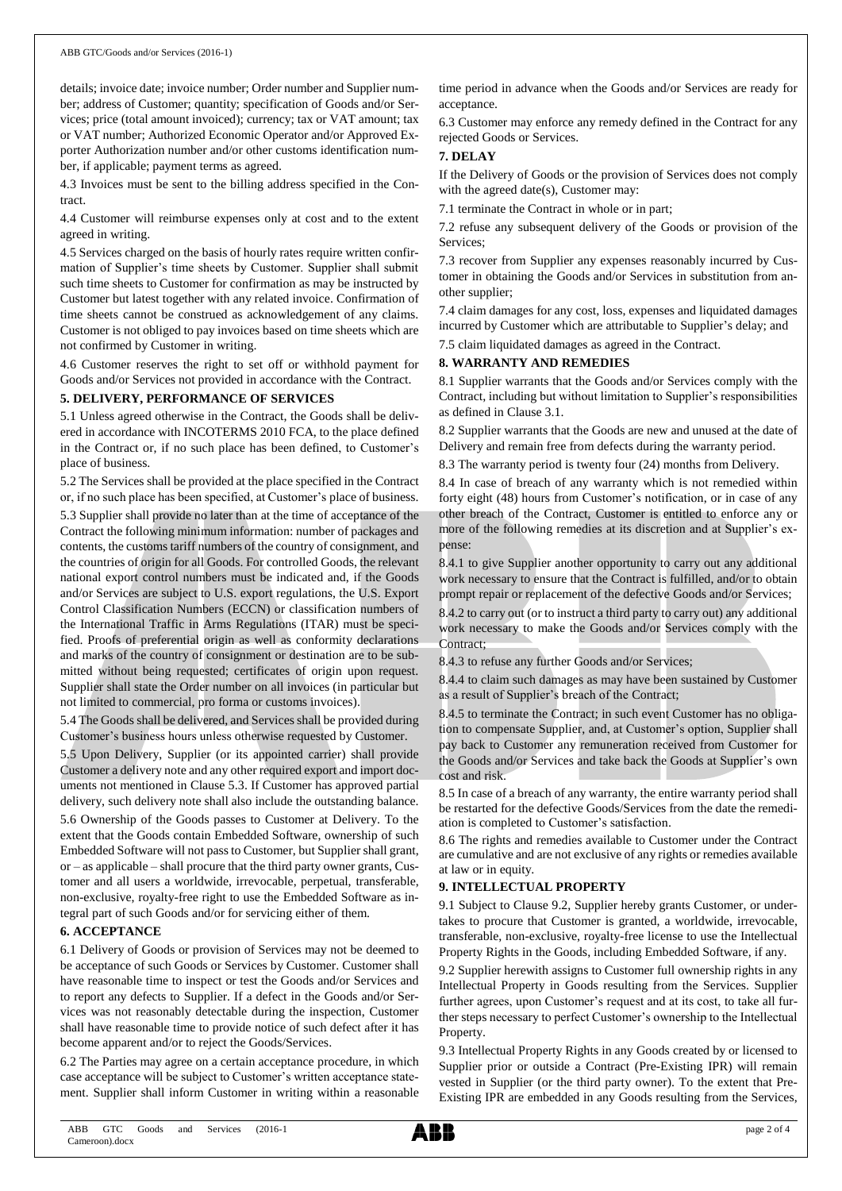details; invoice date; invoice number; Order number and Supplier number; address of Customer; quantity; specification of Goods and/or Services; price (total amount invoiced); currency; tax or VAT amount; tax or VAT number; Authorized Economic Operator and/or Approved Exporter Authorization number and/or other customs identification number, if applicable; payment terms as agreed.

4.3 Invoices must be sent to the billing address specified in the Contract.

4.4 Customer will reimburse expenses only at cost and to the extent agreed in writing.

4.5 Services charged on the basis of hourly rates require written confirmation of Supplier's time sheets by Customer. Supplier shall submit such time sheets to Customer for confirmation as may be instructed by Customer but latest together with any related invoice. Confirmation of time sheets cannot be construed as acknowledgement of any claims. Customer is not obliged to pay invoices based on time sheets which are not confirmed by Customer in writing.

4.6 Customer reserves the right to set off or withhold payment for Goods and/or Services not provided in accordance with the Contract.

#### **5. DELIVERY, PERFORMANCE OF SERVICES**

5.1 Unless agreed otherwise in the Contract, the Goods shall be delivered in accordance with INCOTERMS 2010 FCA, to the place defined in the Contract or, if no such place has been defined, to Customer's place of business.

5.2 The Services shall be provided at the place specified in the Contract or, if no such place has been specified, at Customer's place of business.

5.3 Supplier shall provide no later than at the time of acceptance of the Contract the following minimum information: number of packages and contents, the customs tariff numbers of the country of consignment, and the countries of origin for all Goods. For controlled Goods, the relevant national export control numbers must be indicated and, if the Goods and/or Services are subject to U.S. export regulations, the U.S. Export Control Classification Numbers (ECCN) or classification numbers of the International Traffic in Arms Regulations (ITAR) must be specified. Proofs of preferential origin as well as conformity declarations and marks of the country of consignment or destination are to be submitted without being requested; certificates of origin upon request. Supplier shall state the Order number on all invoices (in particular but not limited to commercial, pro forma or customs invoices).

5.4 The Goods shall be delivered, and Services shall be provided during Customer's business hours unless otherwise requested by Customer.

5.5 Upon Delivery, Supplier (or its appointed carrier) shall provide Customer a delivery note and any other required export and import documents not mentioned in Clause 5.3. If Customer has approved partial delivery, such delivery note shall also include the outstanding balance.

5.6 Ownership of the Goods passes to Customer at Delivery. To the extent that the Goods contain Embedded Software, ownership of such Embedded Software will not passto Customer, but Supplier shall grant, or – as applicable – shall procure that the third party owner grants, Customer and all users a worldwide, irrevocable, perpetual, transferable, non-exclusive, royalty-free right to use the Embedded Software as integral part of such Goods and/or for servicing either of them.

#### **6. ACCEPTANCE**

6.1 Delivery of Goods or provision of Services may not be deemed to be acceptance of such Goods or Services by Customer. Customer shall have reasonable time to inspect or test the Goods and/or Services and to report any defects to Supplier. If a defect in the Goods and/or Services was not reasonably detectable during the inspection, Customer shall have reasonable time to provide notice of such defect after it has become apparent and/or to reject the Goods/Services.

6.2 The Parties may agree on a certain acceptance procedure, in which case acceptance will be subject to Customer's written acceptance statement. Supplier shall inform Customer in writing within a reasonable time period in advance when the Goods and/or Services are ready for acceptance.

6.3 Customer may enforce any remedy defined in the Contract for any rejected Goods or Services.

#### **7. DELAY**

If the Delivery of Goods or the provision of Services does not comply with the agreed date(s), Customer may:

7.1 terminate the Contract in whole or in part;

7.2 refuse any subsequent delivery of the Goods or provision of the Services;

7.3 recover from Supplier any expenses reasonably incurred by Customer in obtaining the Goods and/or Services in substitution from another supplier;

7.4 claim damages for any cost, loss, expenses and liquidated damages incurred by Customer which are attributable to Supplier's delay; and

7.5 claim liquidated damages as agreed in the Contract.

### **8. WARRANTY AND REMEDIES**

8.1 Supplier warrants that the Goods and/or Services comply with the Contract, including but without limitation to Supplier's responsibilities as defined in Clause 3.1.

8.2 Supplier warrants that the Goods are new and unused at the date of Delivery and remain free from defects during the warranty period.

8.3 The warranty period is twenty four (24) months from Delivery.

8.4 In case of breach of any warranty which is not remedied within forty eight (48) hours from Customer's notification, or in case of any other breach of the Contract, Customer is entitled to enforce any or more of the following remedies at its discretion and at Supplier's expense:

8.4.1 to give Supplier another opportunity to carry out any additional work necessary to ensure that the Contract is fulfilled, and/or to obtain prompt repair or replacement of the defective Goods and/or Services;

8.4.2 to carry out (or to instruct a third party to carry out) any additional work necessary to make the Goods and/or Services comply with the Contract;

8.4.3 to refuse any further Goods and/or Services;

8.4.4 to claim such damages as may have been sustained by Customer as a result of Supplier's breach of the Contract;

8.4.5 to terminate the Contract; in such event Customer has no obligation to compensate Supplier, and, at Customer's option, Supplier shall pay back to Customer any remuneration received from Customer for the Goods and/or Services and take back the Goods at Supplier's own cost and risk.

8.5 In case of a breach of any warranty, the entire warranty period shall be restarted for the defective Goods/Services from the date the remediation is completed to Customer's satisfaction.

8.6 The rights and remedies available to Customer under the Contract are cumulative and are not exclusive of any rights or remedies available at law or in equity.

#### **9. INTELLECTUAL PROPERTY**

9.1 Subject to Clause 9.2, Supplier hereby grants Customer, or undertakes to procure that Customer is granted, a worldwide, irrevocable, transferable, non-exclusive, royalty-free license to use the Intellectual Property Rights in the Goods, including Embedded Software, if any.

9.2 Supplier herewith assigns to Customer full ownership rights in any Intellectual Property in Goods resulting from the Services. Supplier further agrees, upon Customer's request and at its cost, to take all further steps necessary to perfect Customer's ownership to the Intellectual Property.

9.3 Intellectual Property Rights in any Goods created by or licensed to Supplier prior or outside a Contract (Pre-Existing IPR) will remain vested in Supplier (or the third party owner). To the extent that Pre-Existing IPR are embedded in any Goods resulting from the Services,

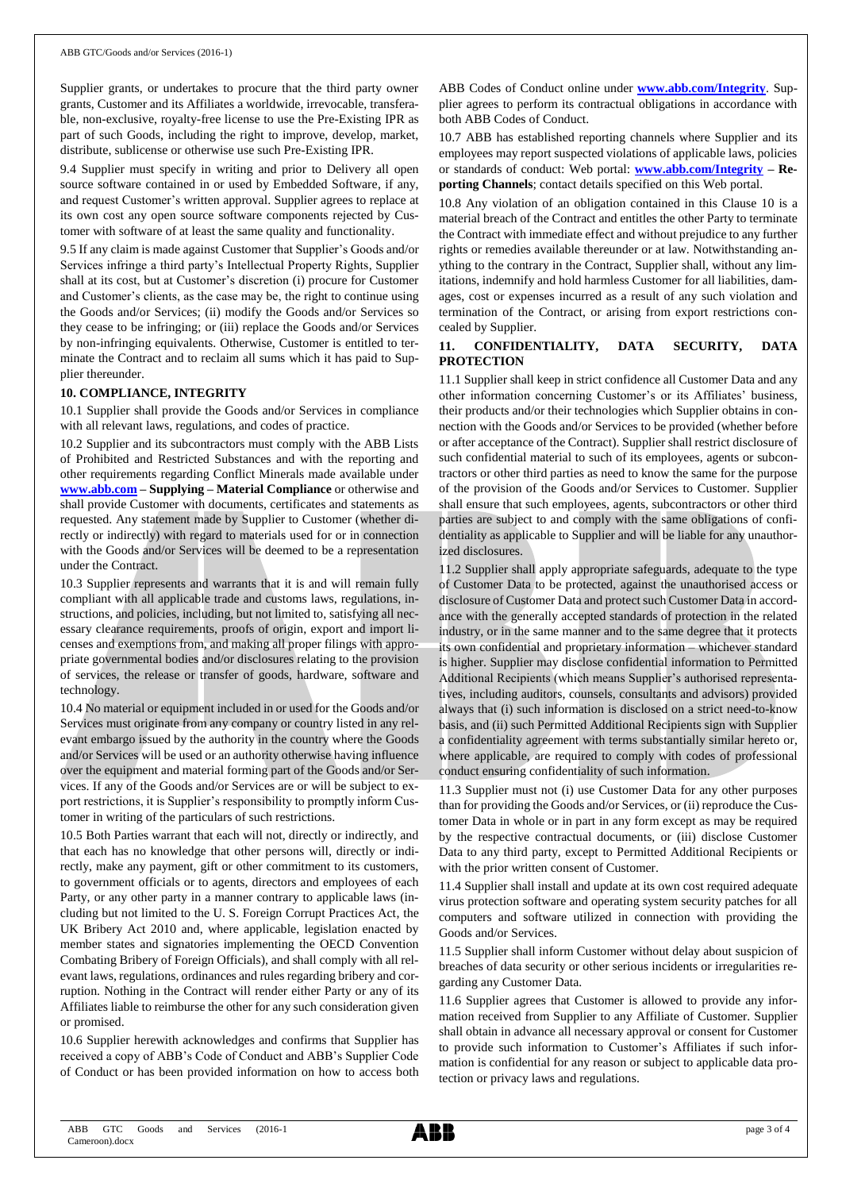Supplier grants, or undertakes to procure that the third party owner grants, Customer and its Affiliates a worldwide, irrevocable, transferable, non-exclusive, royalty-free license to use the Pre-Existing IPR as part of such Goods, including the right to improve, develop, market, distribute, sublicense or otherwise use such Pre-Existing IPR.

9.4 Supplier must specify in writing and prior to Delivery all open source software contained in or used by Embedded Software, if any, and request Customer's written approval. Supplier agrees to replace at its own cost any open source software components rejected by Customer with software of at least the same quality and functionality.

9.5 If any claim is made against Customer that Supplier's Goods and/or Services infringe a third party's Intellectual Property Rights, Supplier shall at its cost, but at Customer's discretion (i) procure for Customer and Customer's clients, as the case may be, the right to continue using the Goods and/or Services; (ii) modify the Goods and/or Services so they cease to be infringing; or (iii) replace the Goods and/or Services by non-infringing equivalents. Otherwise, Customer is entitled to terminate the Contract and to reclaim all sums which it has paid to Supplier thereunder.

#### **10. COMPLIANCE, INTEGRITY**

10.1 Supplier shall provide the Goods and/or Services in compliance with all relevant laws, regulations, and codes of practice.

10.2 Supplier and its subcontractors must comply with the ABB Lists of Prohibited and Restricted Substances and with the reporting and other requirements regarding Conflict Minerals made available under **[www.abb.com](http://www.abb.com/) – Supplying – Material Compliance** or otherwise and shall provide Customer with documents, certificates and statements as requested. Any statement made by Supplier to Customer (whether directly or indirectly) with regard to materials used for or in connection with the Goods and/or Services will be deemed to be a representation under the Contract.

10.3 Supplier represents and warrants that it is and will remain fully compliant with all applicable trade and customs laws, regulations, instructions, and policies, including, but not limited to, satisfying all necessary clearance requirements, proofs of origin, export and import licenses and exemptions from, and making all proper filings with appropriate governmental bodies and/or disclosures relating to the provision of services, the release or transfer of goods, hardware, software and technology.

10.4 No material or equipment included in or used for the Goods and/or Services must originate from any company or country listed in any relevant embargo issued by the authority in the country where the Goods and/or Services will be used or an authority otherwise having influence over the equipment and material forming part of the Goods and/or Services. If any of the Goods and/or Services are or will be subject to export restrictions, it is Supplier's responsibility to promptly inform Customer in writing of the particulars of such restrictions.

10.5 Both Parties warrant that each will not, directly or indirectly, and that each has no knowledge that other persons will, directly or indirectly, make any payment, gift or other commitment to its customers, to government officials or to agents, directors and employees of each Party, or any other party in a manner contrary to applicable laws (including but not limited to the U. S. Foreign Corrupt Practices Act, the UK Bribery Act 2010 and, where applicable, legislation enacted by member states and signatories implementing the OECD Convention Combating Bribery of Foreign Officials), and shall comply with all relevant laws, regulations, ordinances and rules regarding bribery and corruption. Nothing in the Contract will render either Party or any of its Affiliates liable to reimburse the other for any such consideration given or promised.

10.6 Supplier herewith acknowledges and confirms that Supplier has received a copy of ABB's Code of Conduct and ABB's Supplier Code of Conduct or has been provided information on how to access both ABB Codes of Conduct online under **[www.abb.com/Integrity](http://www.abb.com/Integrity)**. Supplier agrees to perform its contractual obligations in accordance with both ABB Codes of Conduct.

10.7 ABB has established reporting channels where Supplier and its employees may report suspected violations of applicable laws, policies or standards of conduct: Web portal: **[www.abb.com/Integrity](http://www.abb.com/Integrity) – Reporting Channels**; contact details specified on this Web portal.

10.8 Any violation of an obligation contained in this Clause 10 is a material breach of the Contract and entitles the other Party to terminate the Contract with immediate effect and without prejudice to any further rights or remedies available thereunder or at law. Notwithstanding anything to the contrary in the Contract, Supplier shall, without any limitations, indemnify and hold harmless Customer for all liabilities, damages, cost or expenses incurred as a result of any such violation and termination of the Contract, or arising from export restrictions concealed by Supplier.

### **11. CONFIDENTIALITY, DATA SECURITY, DATA PROTECTION**

11.1 Supplier shall keep in strict confidence all Customer Data and any other information concerning Customer's or its Affiliates' business, their products and/or their technologies which Supplier obtains in connection with the Goods and/or Services to be provided (whether before or after acceptance of the Contract). Supplier shall restrict disclosure of such confidential material to such of its employees, agents or subcontractors or other third parties as need to know the same for the purpose of the provision of the Goods and/or Services to Customer. Supplier shall ensure that such employees, agents, subcontractors or other third parties are subject to and comply with the same obligations of confidentiality as applicable to Supplier and will be liable for any unauthorized disclosures.

11.2 Supplier shall apply appropriate safeguards, adequate to the type of Customer Data to be protected, against the unauthorised access or disclosure of Customer Data and protect such Customer Data in accordance with the generally accepted standards of protection in the related industry, or in the same manner and to the same degree that it protects its own confidential and proprietary information – whichever standard is higher. Supplier may disclose confidential information to Permitted Additional Recipients (which means Supplier's authorised representatives, including auditors, counsels, consultants and advisors) provided always that (i) such information is disclosed on a strict need-to-know basis, and (ii) such Permitted Additional Recipients sign with Supplier a confidentiality agreement with terms substantially similar hereto or, where applicable, are required to comply with codes of professional conduct ensuring confidentiality of such information.

11.3 Supplier must not (i) use Customer Data for any other purposes than for providing the Goods and/or Services, or (ii) reproduce the Customer Data in whole or in part in any form except as may be required by the respective contractual documents, or (iii) disclose Customer Data to any third party, except to Permitted Additional Recipients or with the prior written consent of Customer.

11.4 Supplier shall install and update at its own cost required adequate virus protection software and operating system security patches for all computers and software utilized in connection with providing the Goods and/or Services.

11.5 Supplier shall inform Customer without delay about suspicion of breaches of data security or other serious incidents or irregularities regarding any Customer Data.

11.6 Supplier agrees that Customer is allowed to provide any information received from Supplier to any Affiliate of Customer. Supplier shall obtain in advance all necessary approval or consent for Customer to provide such information to Customer's Affiliates if such information is confidential for any reason or subject to applicable data protection or privacy laws and regulations.